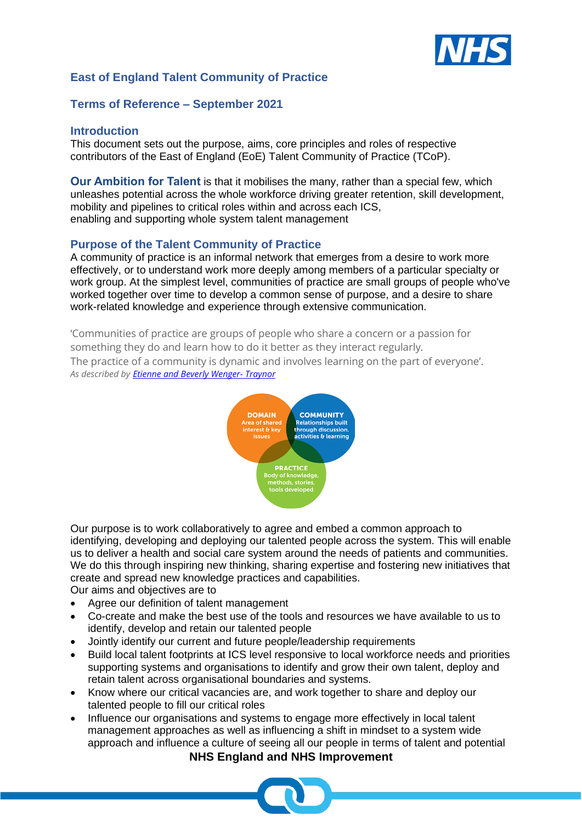

# **East of England Talent Community of Practice**

## **Terms of Reference – September 2021**

## **Introduction**

This document sets out the purpose, aims, core principles and roles of respective contributors of the East of England (EoE) Talent Community of Practice (TCoP).

**Our Ambition for Talent** is that it mobilises the many, rather than a special few, which unleashes potential across the whole workforce driving greater retention, skill development, mobility and pipelines to critical roles within and across each ICS, enabling and supporting whole system talent management

## **Purpose of the Talent Community of Practice**

A community of practice is an informal network that emerges from a desire to work more effectively, or to understand work more deeply among members of a particular specialty or work group. At the simplest level, communities of practice are small groups of people who've worked together over time to develop a common sense of purpose, and a desire to share work-related knowledge and experience through extensive communication.

'Communities of practice are groups of people who share a concern or a passion for something they do and learn how to do it better as they interact regularly. The practice of a community is dynamic and involves learning on the part of everyone'. *As described by [Etienne and Beverly Wenger-](https://wenger-trayner.com/introduction-to-communities-of-practice/) Traynor*



Our purpose is to work collaboratively to agree and embed a common approach to identifying, developing and deploying our talented people across the system. This will enable us to deliver a health and social care system around the needs of patients and communities. We do this through inspiring new thinking, sharing expertise and fostering new initiatives that create and spread new knowledge practices and capabilities.

Our aims and objectives are to

- Agree our definition of talent management
- Co-create and make the best use of the tools and resources we have available to us to identify, develop and retain our talented people
- Jointly identify our current and future people/leadership requirements
- Build local talent footprints at ICS level responsive to local workforce needs and priorities supporting systems and organisations to identify and grow their own talent, deploy and retain talent across organisational boundaries and systems.
- Know where our critical vacancies are, and work together to share and deploy our talented people to fill our critical roles
- **NHS England and NHS Improvement** • Influence our organisations and systems to engage more effectively in local talent management approaches as well as influencing a shift in mindset to a system wide approach and influence a culture of seeing all our people in terms of talent and potential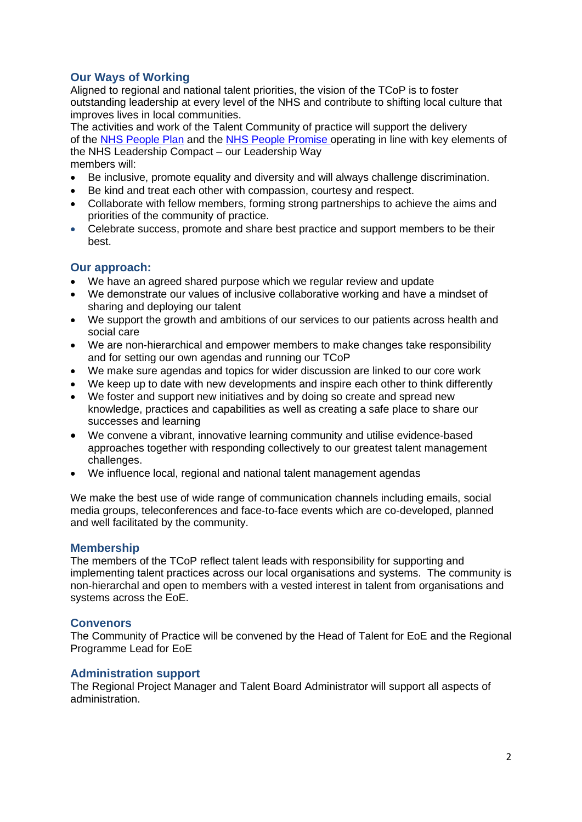# **Our Ways of Working**

Aligned to regional and national talent priorities, the vision of the TCoP is to foster outstanding leadership at every level of the NHS and contribute to shifting local culture that improves lives in local communities.

The activities and work of the Talent Community of practice will support the delivery of the [NHS People Plan](https://www.england.nhs.uk/wp-content/uploads/2020/07/We-Are-The-NHS-Action-For-All-Of-Us-FINAL-March-21.pdf) and the NHS [People Promise](https://www.england.nhs.uk/ournhspeople/online-version/lfaop/our-nhs-people-promise/) operating in line with key elements of the NHS Leadership Compact – our Leadership Way members will:

- Be inclusive, promote equality and diversity and will always challenge discrimination.
- Be kind and treat each other with compassion, courtesy and respect.
- Collaborate with fellow members, forming strong partnerships to achieve the aims and priorities of the community of practice.
- Celebrate success, promote and share best practice and support members to be their best.

## **Our approach:**

- We have an agreed shared purpose which we regular review and update
- We demonstrate our values of inclusive collaborative working and have a mindset of sharing and deploying our talent
- We support the growth and ambitions of our services to our patients across health and social care
- We are non-hierarchical and empower members to make changes take responsibility and for setting our own agendas and running our TCoP
- We make sure agendas and topics for wider discussion are linked to our core work
- We keep up to date with new developments and inspire each other to think differently
- We foster and support new initiatives and by doing so create and spread new knowledge, practices and capabilities as well as creating a safe place to share our successes and learning
- We convene a vibrant, innovative learning community and utilise evidence-based approaches together with responding collectively to our greatest talent management challenges.
- We influence local, regional and national talent management agendas

We make the best use of wide range of communication channels including emails, social media groups, teleconferences and face-to-face events which are co-developed, planned and well facilitated by the community.

#### **Membership**

The members of the TCoP reflect talent leads with responsibility for supporting and implementing talent practices across our local organisations and systems. The community is non-hierarchal and open to members with a vested interest in talent from organisations and systems across the EoE.

#### **Convenors**

The Community of Practice will be convened by the Head of Talent for EoE and the Regional Programme Lead for EoE

#### **Administration support**

The Regional Project Manager and Talent Board Administrator will support all aspects of administration.